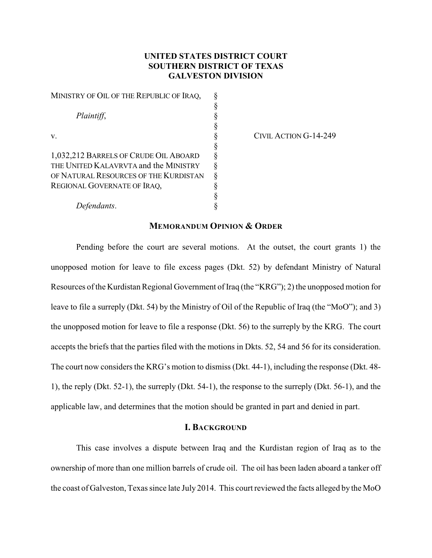# **UNITED STATES DISTRICT COURT SOUTHERN DISTRICT OF TEXAS GALVESTON DIVISION**

| MINISTRY OF OIL OF THE REPUBLIC OF IRAQ, |  |
|------------------------------------------|--|
|                                          |  |
| Plaintiff,                               |  |
|                                          |  |
| V.                                       |  |
|                                          |  |
| 1,032,212 BARRELS OF CRUDE OIL ABOARD    |  |
| THE UNITED KALAVRVTA and the MINISTRY    |  |
| OF NATURAL RESOURCES OF THE KURDISTAN    |  |
| REGIONAL GOVERNATE OF IRAQ,              |  |
|                                          |  |

CIVIL ACTION G-14-249

# *Defendants*. §

# **MEMORANDUM OPINION & ORDER**

Pending before the court are several motions. At the outset, the court grants 1) the unopposed motion for leave to file excess pages (Dkt. 52) by defendant Ministry of Natural Resources of the Kurdistan Regional Government of Iraq (the "KRG"); 2) the unopposed motion for leave to file a surreply (Dkt. 54) by the Ministry of Oil of the Republic of Iraq (the "MoO"); and 3) the unopposed motion for leave to file a response (Dkt. 56) to the surreply by the KRG. The court accepts the briefs that the parties filed with the motions in Dkts. 52, 54 and 56 for its consideration. The court now considers the KRG's motion to dismiss(Dkt. 44-1), including the response (Dkt. 48- 1), the reply (Dkt. 52-1), the surreply (Dkt. 54-1), the response to the surreply (Dkt. 56-1), and the applicable law, and determines that the motion should be granted in part and denied in part.

#### **I. BACKGROUND**

This case involves a dispute between Iraq and the Kurdistan region of Iraq as to the ownership of more than one million barrels of crude oil. The oil has been laden aboard a tanker off the coast of Galveston, Texas since late July 2014. This court reviewed the facts alleged by the MoO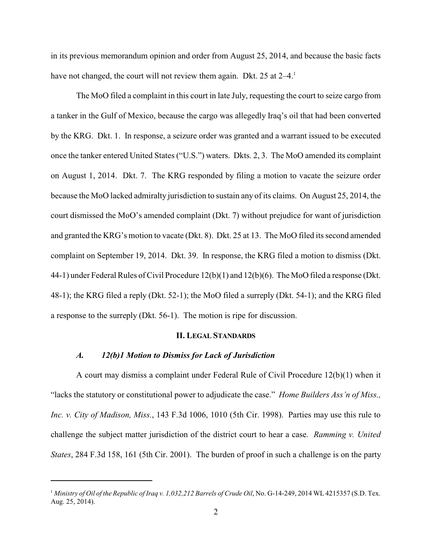in its previous memorandum opinion and order from August 25, 2014, and because the basic facts have not changed, the court will not review them again. Dkt. 25 at  $2-4$ <sup>1</sup>

The MoO filed a complaint in this court in late July, requesting the court to seize cargo from a tanker in the Gulf of Mexico, because the cargo was allegedly Iraq's oil that had been converted by the KRG. Dkt. 1. In response, a seizure order was granted and a warrant issued to be executed once the tanker entered United States ("U.S.") waters. Dkts. 2, 3. The MoO amended its complaint on August 1, 2014. Dkt. 7. The KRG responded by filing a motion to vacate the seizure order because the MoO lacked admiralty jurisdiction to sustain any of its claims. On August 25, 2014, the court dismissed the MoO's amended complaint (Dkt. 7) without prejudice for want of jurisdiction and granted the KRG's motion to vacate (Dkt. 8). Dkt. 25 at 13. The MoO filed its second amended complaint on September 19, 2014. Dkt. 39. In response, the KRG filed a motion to dismiss (Dkt. 44-1) under Federal Rules of Civil Procedure 12(b)(1) and 12(b)(6). The MoO filed a response (Dkt. 48-1); the KRG filed a reply (Dkt. 52-1); the MoO filed a surreply (Dkt. 54-1); and the KRG filed a response to the surreply (Dkt. 56-1). The motion is ripe for discussion.

#### **II. LEGAL STANDARDS**

# *A. 12(b)1 Motion to Dismiss for Lack of Jurisdiction*

A court may dismiss a complaint under Federal Rule of Civil Procedure 12(b)(1) when it "lacks the statutory or constitutional power to adjudicate the case." *Home Builders Ass'n of Miss., Inc. v. City of Madison, Miss.*, 143 F.3d 1006, 1010 (5th Cir. 1998). Parties may use this rule to challenge the subject matter jurisdiction of the district court to hear a case. *Ramming v. United States*, 284 F.3d 158, 161 (5th Cir. 2001). The burden of proof in such a challenge is on the party

*Ministry of Oil of the Republic of Iraq v. 1,032,212 Barrels of Crude Oil*, No. G-14-249, 2014 WL 4215357 (S.D. Tex. <sup>1</sup> Aug. 25, 2014).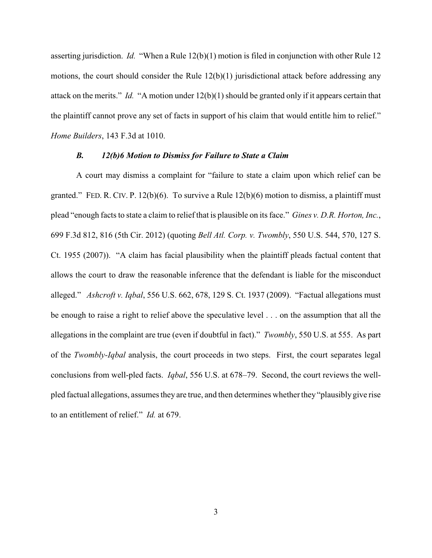asserting jurisdiction. *Id.* "When a Rule 12(b)(1) motion is filed in conjunction with other Rule 12 motions, the court should consider the Rule 12(b)(1) jurisdictional attack before addressing any attack on the merits." *Id.* "A motion under 12(b)(1) should be granted only if it appears certain that the plaintiff cannot prove any set of facts in support of his claim that would entitle him to relief." *Home Builders*, 143 F.3d at 1010.

# *B. 12(b)6 Motion to Dismiss for Failure to State a Claim*

A court may dismiss a complaint for "failure to state a claim upon which relief can be granted." FED. R. CIV. P.  $12(b)(6)$ . To survive a Rule  $12(b)(6)$  motion to dismiss, a plaintiff must plead "enough facts to state a claim to relief that is plausible on its face." *Gines v. D.R. Horton, Inc.*, 699 F.3d 812, 816 (5th Cir. 2012) (quoting *Bell Atl. Corp. v. Twombly*, 550 U.S. 544, 570, 127 S. Ct. 1955 (2007)). "A claim has facial plausibility when the plaintiff pleads factual content that allows the court to draw the reasonable inference that the defendant is liable for the misconduct alleged." *Ashcroft v. Iqbal*, 556 U.S. 662, 678, 129 S. Ct. 1937 (2009). "Factual allegations must be enough to raise a right to relief above the speculative level . . . on the assumption that all the allegations in the complaint are true (even if doubtful in fact)." *Twombly*, 550 U.S. at 555. As part of the *Twombly-Iqbal* analysis, the court proceeds in two steps. First, the court separates legal conclusions from well-pled facts. *Iqbal*, 556 U.S. at 678–79. Second, the court reviews the wellpled factual allegations, assumes they are true, and then determines whether they "plausibly give rise to an entitlement of relief." *Id.* at 679.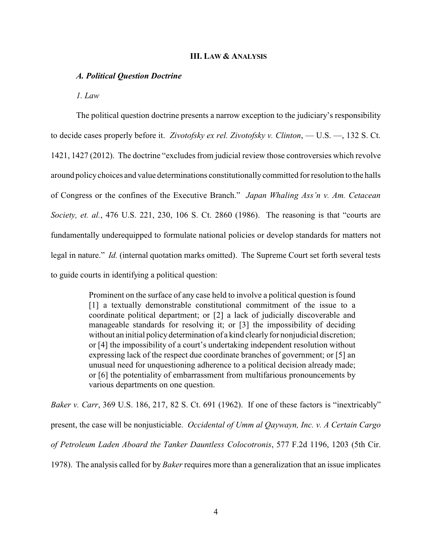#### **III. LAW & ANALYSIS**

#### *A. Political Question Doctrine*

*1. Law*

The political question doctrine presents a narrow exception to the judiciary's responsibility to decide cases properly before it. *Zivotofsky ex rel. Zivotofsky v. Clinton*, — U.S. —, 132 S. Ct. 1421, 1427 (2012). The doctrine "excludes from judicial review those controversies which revolve around policychoices and value determinations constitutionallycommitted for resolution to the halls of Congress or the confines of the Executive Branch." *Japan Whaling Ass'n v. Am. Cetacean Society, et. al.*, 476 U.S. 221, 230, 106 S. Ct. 2860 (1986). The reasoning is that "courts are fundamentally underequipped to formulate national policies or develop standards for matters not legal in nature." *Id.* (internal quotation marks omitted). The Supreme Court set forth several tests to guide courts in identifying a political question:

> Prominent on the surface of any case held to involve a political question is found [1] a textually demonstrable constitutional commitment of the issue to a coordinate political department; or [2] a lack of judicially discoverable and manageable standards for resolving it; or [3] the impossibility of deciding without an initial policy determination of a kind clearly for nonjudicial discretion; or [4] the impossibility of a court's undertaking independent resolution without expressing lack of the respect due coordinate branches of government; or [5] an unusual need for unquestioning adherence to a political decision already made; or [6] the potentiality of embarrassment from multifarious pronouncements by various departments on one question.

*Baker v. Carr*, 369 U.S. 186, 217, 82 S. Ct. 691 (1962). If one of these factors is "inextricably" present, the case will be nonjusticiable. *Occidental of Umm al Qaywayn, Inc. v. A Certain Cargo of Petroleum Laden Aboard the Tanker Dauntless Colocotronis*, 577 F.2d 1196, 1203 (5th Cir. 1978). The analysis called for by *Baker* requires more than a generalization that an issue implicates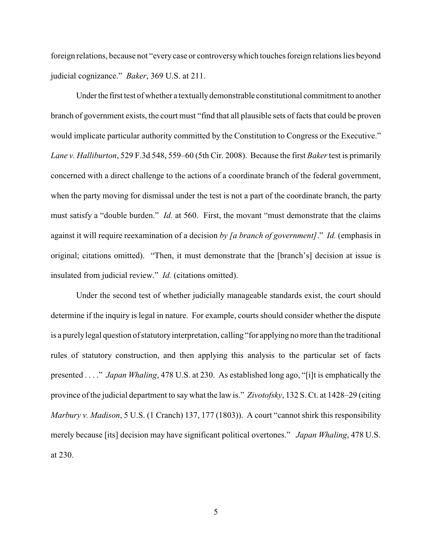foreign relations, because not "every case or controversywhich touches foreign relations lies beyond judicial cognizance." *Baker*, 369 U.S. at 211.

Under the first test of whether a textually demonstrable constitutional commitment to another branch of government exists, the court must "find that all plausible sets of facts that could be proven would implicate particular authority committed by the Constitution to Congress or the Executive." *Lane v. Halliburton*, 529 F.3d 548, 559–60 (5th Cir. 2008). Because the first *Baker* test is primarily concerned with a direct challenge to the actions of a coordinate branch of the federal government, when the party moving for dismissal under the test is not a part of the coordinate branch, the party must satisfy a "double burden." *Id.* at 560. First, the movant "must demonstrate that the claims against it will require reexamination of a decision *by [a branch of government]*." *Id.* (emphasis in original; citations omitted). "Then, it must demonstrate that the [branch's] decision at issue is insulated from judicial review." *Id.* (citations omitted).

Under the second test of whether judicially manageable standards exist, the court should determine if the inquiry is legal in nature. For example, courts should consider whether the dispute is a purelylegal question of statutoryinterpretation, calling "for applying no more than the traditional rules of statutory construction, and then applying this analysis to the particular set of facts presented . . . ." *Japan Whaling*, 478 U.S. at 230. As established long ago, "[i]t is emphatically the province of the judicial department to say what the law is." *Zivotofsky*, 132 S. Ct. at 1428–29 (citing *Marbury v. Madison*, 5 U.S. (1 Cranch) 137, 177 (1803)). A court "cannot shirk this responsibility merely because [its] decision may have significant political overtones." *Japan Whaling*, 478 U.S. at 230.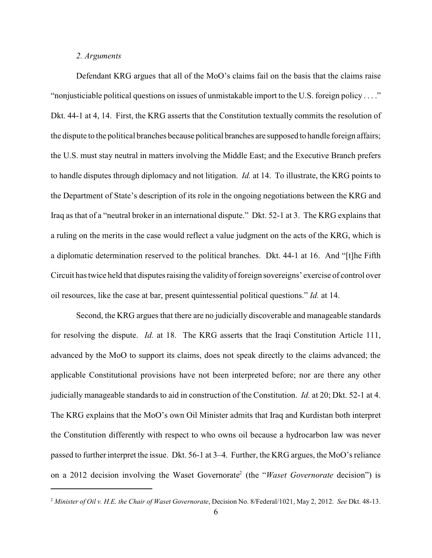#### *2. Arguments*

Defendant KRG argues that all of the MoO's claims fail on the basis that the claims raise "nonjusticiable political questions on issues of unmistakable import to the U.S. foreign policy . . . ." Dkt. 44-1 at 4, 14. First, the KRG asserts that the Constitution textually commits the resolution of the dispute to the political branches because political branches are supposed to handle foreign affairs; the U.S. must stay neutral in matters involving the Middle East; and the Executive Branch prefers to handle disputes through diplomacy and not litigation. *Id.* at 14. To illustrate, the KRG points to the Department of State's description of its role in the ongoing negotiations between the KRG and Iraq as that of a "neutral broker in an international dispute." Dkt. 52-1 at 3. The KRG explains that a ruling on the merits in the case would reflect a value judgment on the acts of the KRG, which is a diplomatic determination reserved to the political branches. Dkt. 44-1 at 16. And "[t]he Fifth Circuit has twice held that disputes raising the validityof foreign sovereigns' exercise of control over oil resources, like the case at bar, present quintessential political questions." *Id.* at 14.

Second, the KRG argues that there are no judicially discoverable and manageable standards for resolving the dispute. *Id.* at 18. The KRG asserts that the Iraqi Constitution Article 111, advanced by the MoO to support its claims, does not speak directly to the claims advanced; the applicable Constitutional provisions have not been interpreted before; nor are there any other judicially manageable standards to aid in construction of the Constitution. *Id.* at 20; Dkt. 52-1 at 4. The KRG explains that the MoO's own Oil Minister admits that Iraq and Kurdistan both interpret the Constitution differently with respect to who owns oil because a hydrocarbon law was never passed to further interpret the issue. Dkt. 56-1 at 3–4. Further, the KRG argues, the MoO's reliance on a 2012 decision involving the Waset Governorate (the "*Waset Governorate* decision") is <sup>2</sup>

*Minister of Oil v. H.E. the Chair of Waset Governorate*, Decision No. 8/Federal/1021, May 2, 2012. *See* Dkt. 48-13. <sup>2</sup>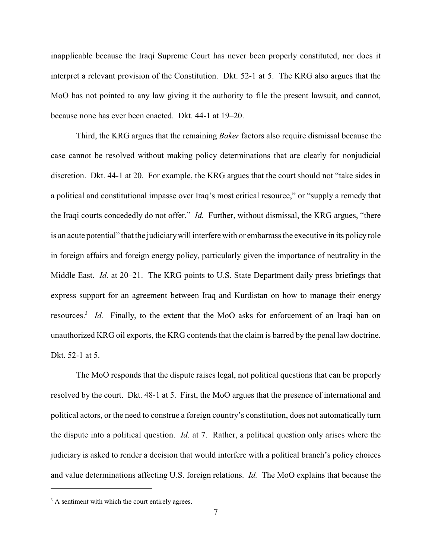inapplicable because the Iraqi Supreme Court has never been properly constituted, nor does it interpret a relevant provision of the Constitution. Dkt. 52-1 at 5. The KRG also argues that the MoO has not pointed to any law giving it the authority to file the present lawsuit, and cannot, because none has ever been enacted. Dkt. 44-1 at 19–20.

Third, the KRG argues that the remaining *Baker* factors also require dismissal because the case cannot be resolved without making policy determinations that are clearly for nonjudicial discretion. Dkt. 44-1 at 20. For example, the KRG argues that the court should not "take sides in a political and constitutional impasse over Iraq's most critical resource," or "supply a remedy that the Iraqi courts concededly do not offer." *Id.* Further, without dismissal, the KRG argues, "there is an acute potential" that the judiciarywill interfere with or embarrass the executive in its policy role in foreign affairs and foreign energy policy, particularly given the importance of neutrality in the Middle East. *Id.* at 20–21. The KRG points to U.S. State Department daily press briefings that express support for an agreement between Iraq and Kurdistan on how to manage their energy resources.<sup>3</sup> Id. Finally, to the extent that the MoO asks for enforcement of an Iraqi ban on unauthorized KRG oil exports, the KRG contends that the claim is barred by the penal law doctrine. Dkt. 52-1 at 5.

The MoO responds that the dispute raises legal, not political questions that can be properly resolved by the court. Dkt. 48-1 at 5. First, the MoO argues that the presence of international and political actors, or the need to construe a foreign country's constitution, does not automatically turn the dispute into a political question. *Id.* at 7. Rather, a political question only arises where the judiciary is asked to render a decision that would interfere with a political branch's policy choices and value determinations affecting U.S. foreign relations. *Id.* The MoO explains that because the

 $3$  A sentiment with which the court entirely agrees.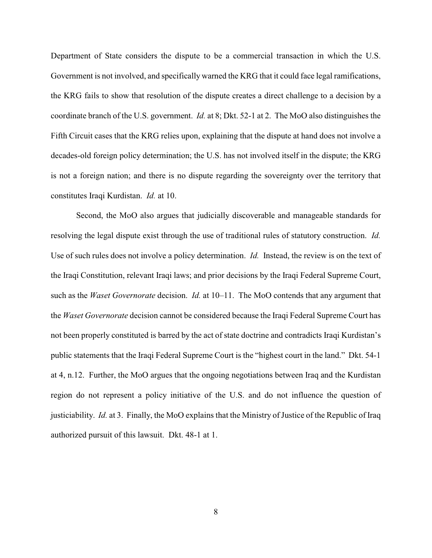Department of State considers the dispute to be a commercial transaction in which the U.S. Government is not involved, and specifically warned the KRG that it could face legal ramifications, the KRG fails to show that resolution of the dispute creates a direct challenge to a decision by a coordinate branch of the U.S. government. *Id.* at 8; Dkt. 52-1 at 2. The MoO also distinguishes the Fifth Circuit cases that the KRG relies upon, explaining that the dispute at hand does not involve a decades-old foreign policy determination; the U.S. has not involved itself in the dispute; the KRG is not a foreign nation; and there is no dispute regarding the sovereignty over the territory that constitutes Iraqi Kurdistan. *Id.* at 10.

Second, the MoO also argues that judicially discoverable and manageable standards for resolving the legal dispute exist through the use of traditional rules of statutory construction. *Id.*  Use of such rules does not involve a policy determination. *Id.* Instead, the review is on the text of the Iraqi Constitution, relevant Iraqi laws; and prior decisions by the Iraqi Federal Supreme Court, such as the *Waset Governorate* decision. *Id.* at 10–11. The MoO contends that any argument that the *Waset Governorate* decision cannot be considered because the Iraqi Federal Supreme Court has not been properly constituted is barred by the act of state doctrine and contradicts Iraqi Kurdistan's public statements that the Iraqi Federal Supreme Court is the "highest court in the land." Dkt. 54-1 at 4, n.12. Further, the MoO argues that the ongoing negotiations between Iraq and the Kurdistan region do not represent a policy initiative of the U.S. and do not influence the question of justiciability. *Id.* at 3. Finally, the MoO explains that the Ministry of Justice of the Republic of Iraq authorized pursuit of this lawsuit. Dkt. 48-1 at 1.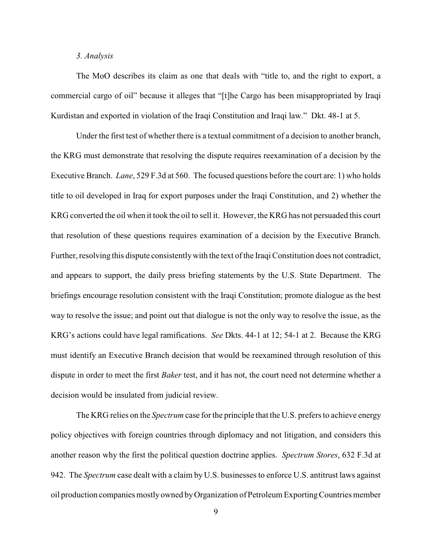# *3. Analysis*

The MoO describes its claim as one that deals with "title to, and the right to export, a commercial cargo of oil" because it alleges that "[t]he Cargo has been misappropriated by Iraqi Kurdistan and exported in violation of the Iraqi Constitution and Iraqi law." Dkt. 48-1 at 5.

Under the first test of whether there is a textual commitment of a decision to another branch, the KRG must demonstrate that resolving the dispute requires reexamination of a decision by the Executive Branch. *Lane*, 529 F.3d at 560. The focused questions before the court are: 1) who holds title to oil developed in Iraq for export purposes under the Iraqi Constitution, and 2) whether the KRG converted the oil when it took the oil to sell it. However, the KRG has not persuaded this court that resolution of these questions requires examination of a decision by the Executive Branch. Further, resolving this dispute consistentlywith the text of the Iraqi Constitution does not contradict, and appears to support, the daily press briefing statements by the U.S. State Department. The briefings encourage resolution consistent with the Iraqi Constitution; promote dialogue as the best way to resolve the issue; and point out that dialogue is not the only way to resolve the issue, as the KRG's actions could have legal ramifications. *See* Dkts. 44-1 at 12; 54-1 at 2. Because the KRG must identify an Executive Branch decision that would be reexamined through resolution of this dispute in order to meet the first *Baker* test, and it has not, the court need not determine whether a decision would be insulated from judicial review.

The KRG relies on the *Spectrum* case for the principle that the U.S. prefers to achieve energy policy objectives with foreign countries through diplomacy and not litigation, and considers this another reason why the first the political question doctrine applies. *Spectrum Stores*, 632 F.3d at 942. The *Spectrum* case dealt with a claim by U.S. businesses to enforce U.S. antitrust laws against oil production companies mostly owned byOrganization of Petroleum ExportingCountries member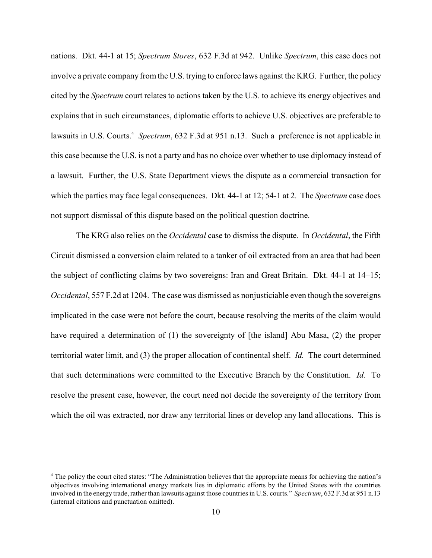nations. Dkt. 44-1 at 15; *Spectrum Stores*, 632 F.3d at 942. Unlike *Spectrum*, this case does not involve a private company from the U.S. trying to enforce laws against the KRG. Further, the policy cited by the *Spectrum* court relates to actions taken by the U.S. to achieve its energy objectives and explains that in such circumstances, diplomatic efforts to achieve U.S. objectives are preferable to lawsuits in U.S. Courts.<sup>4</sup> Spectrum, 632 F.3d at 951 n.13. Such a preference is not applicable in this case because the U.S. is not a party and has no choice over whether to use diplomacy instead of a lawsuit. Further, the U.S. State Department views the dispute as a commercial transaction for which the parties may face legal consequences. Dkt. 44-1 at 12; 54-1 at 2. The *Spectrum* case does not support dismissal of this dispute based on the political question doctrine.

The KRG also relies on the *Occidental* case to dismiss the dispute. In *Occidental*, the Fifth Circuit dismissed a conversion claim related to a tanker of oil extracted from an area that had been the subject of conflicting claims by two sovereigns: Iran and Great Britain. Dkt. 44-1 at 14–15; *Occidental*, 557 F.2d at 1204. The case was dismissed as nonjusticiable even though the sovereigns implicated in the case were not before the court, because resolving the merits of the claim would have required a determination of (1) the sovereignty of [the island] Abu Masa, (2) the proper territorial water limit, and (3) the proper allocation of continental shelf. *Id.* The court determined that such determinations were committed to the Executive Branch by the Constitution. *Id.* To resolve the present case, however, the court need not decide the sovereignty of the territory from which the oil was extracted, nor draw any territorial lines or develop any land allocations. This is

<sup>&</sup>lt;sup>4</sup> The policy the court cited states: "The Administration believes that the appropriate means for achieving the nation's objectives involving international energy markets lies in diplomatic efforts by the United States with the countries involved in the energy trade, rather than lawsuits against those countries in U.S. courts." *Spectrum*, 632 F.3d at 951 n.13 (internal citations and punctuation omitted).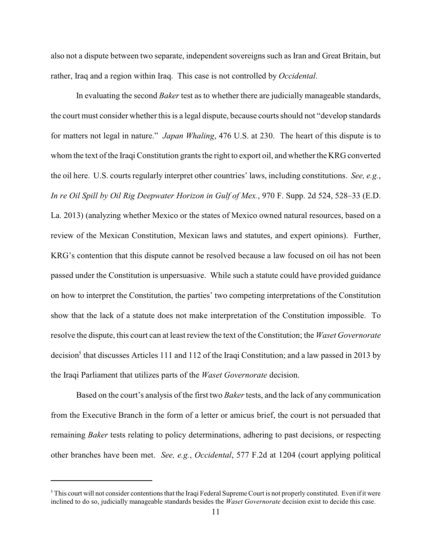also not a dispute between two separate, independent sovereigns such as Iran and Great Britain, but rather, Iraq and a region within Iraq. This case is not controlled by *Occidental*.

In evaluating the second *Baker* test as to whether there are judicially manageable standards, the court must consider whether this is a legal dispute, because courts should not "develop standards for matters not legal in nature." *Japan Whaling*, 476 U.S. at 230. The heart of this dispute is to whom the text of the Iraqi Constitution grants the right to export oil, and whether the KRG converted the oil here. U.S. courts regularly interpret other countries' laws, including constitutions. *See, e.g.*, *In re Oil Spill by Oil Rig Deepwater Horizon in Gulf of Mex.*, 970 F. Supp. 2d 524, 528–33 (E.D. La. 2013) (analyzing whether Mexico or the states of Mexico owned natural resources, based on a review of the Mexican Constitution, Mexican laws and statutes, and expert opinions). Further, KRG's contention that this dispute cannot be resolved because a law focused on oil has not been passed under the Constitution is unpersuasive. While such a statute could have provided guidance on how to interpret the Constitution, the parties' two competing interpretations of the Constitution show that the lack of a statute does not make interpretation of the Constitution impossible. To resolve the dispute, this court can at least review the text of the Constitution; the *Waset Governorate* decision<sup>5</sup> that discusses Articles 111 and 112 of the Iraqi Constitution; and a law passed in 2013 by the Iraqi Parliament that utilizes parts of the *Waset Governorate* decision.

Based on the court's analysis of the first two *Baker*tests, and the lack of any communication from the Executive Branch in the form of a letter or amicus brief, the court is not persuaded that remaining *Baker* tests relating to policy determinations, adhering to past decisions, or respecting other branches have been met. *See, e.g.*, *Occidental*, 577 F.2d at 1204 (court applying political

<sup>&</sup>lt;sup>5</sup> This court will not consider contentions that the Iraqi Federal Supreme Court is not properly constituted. Even if it were inclined to do so, judicially manageable standards besides the *Waset Governorate* decision exist to decide this case.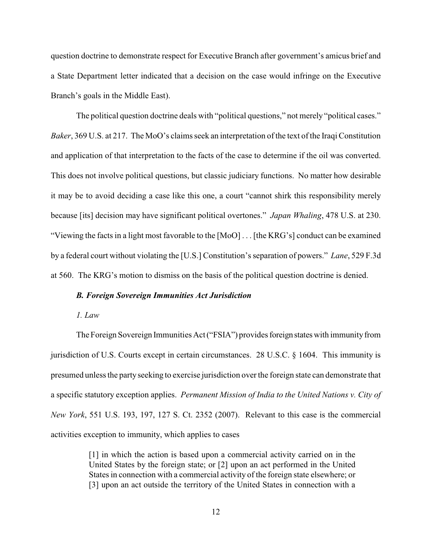question doctrine to demonstrate respect for Executive Branch after government's amicus brief and a State Department letter indicated that a decision on the case would infringe on the Executive Branch's goals in the Middle East).

The political question doctrine deals with "political questions," not merely "political cases." *Baker*, 369 U.S. at 217. The MoO's claims seek an interpretation of the text of the Iraqi Constitution and application of that interpretation to the facts of the case to determine if the oil was converted. This does not involve political questions, but classic judiciary functions. No matter how desirable it may be to avoid deciding a case like this one, a court "cannot shirk this responsibility merely because [its] decision may have significant political overtones." *Japan Whaling*, 478 U.S. at 230. "Viewing the facts in a light most favorable to the [MoO] . . . [the KRG's] conduct can be examined by a federal court without violating the [U.S.] Constitution's separation of powers." *Lane*, 529 F.3d at 560. The KRG's motion to dismiss on the basis of the political question doctrine is denied.

### *B. Foreign Sovereign Immunities Act Jurisdiction*

*1. Law*

The Foreign Sovereign Immunities Act ("FSIA") provides foreign states with immunity from jurisdiction of U.S. Courts except in certain circumstances. 28 U.S.C. § 1604. This immunity is presumed unless the party seeking to exercise jurisdiction over the foreign state can demonstrate that a specific statutory exception applies. *Permanent Mission of India to the United Nations v. City of New York*, 551 U.S. 193, 197, 127 S. Ct. 2352 (2007). Relevant to this case is the commercial activities exception to immunity, which applies to cases

> [1] in which the action is based upon a commercial activity carried on in the United States by the foreign state; or [2] upon an act performed in the United States in connection with a commercial activity of the foreign state elsewhere; or [3] upon an act outside the territory of the United States in connection with a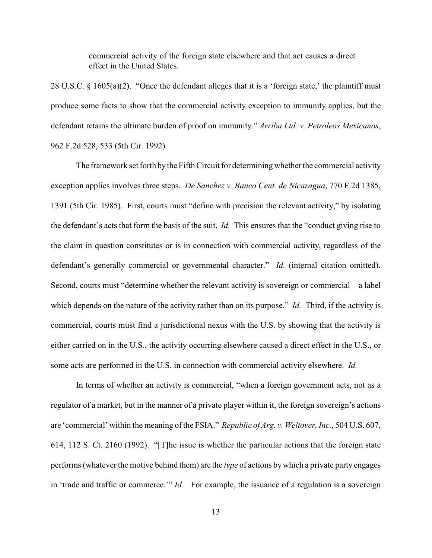commercial activity of the foreign state elsewhere and that act causes a direct effect in the United States.

28 U.S.C. § 1605(a)(2). "Once the defendant alleges that it is a 'foreign state,' the plaintiff must produce some facts to show that the commercial activity exception to immunity applies, but the defendant retains the ultimate burden of proof on immunity." *Arriba Ltd. v. Petroleos Mexicanos*, 962 F.2d 528, 533 (5th Cir. 1992).

The framework set forth by the Fifth Circuit for determining whether the commercial activity exception applies involves three steps. *De Sanchez v. Banco Cent. de Nicaragua*, 770 F.2d 1385, 1391 (5th Cir. 1985). First, courts must "define with precision the relevant activity," by isolating the defendant's acts that form the basis of the suit. *Id.* This ensures that the "conduct giving rise to the claim in question constitutes or is in connection with commercial activity, regardless of the defendant's generally commercial or governmental character." *Id.* (internal citation omitted). Second, courts must "determine whether the relevant activity is sovereign or commercial—a label which depends on the nature of the activity rather than on its purpose." *Id.* Third, if the activity is commercial, courts must find a jurisdictional nexus with the U.S. by showing that the activity is either carried on in the U.S., the activity occurring elsewhere caused a direct effect in the U.S., or some acts are performed in the U.S. in connection with commercial activity elsewhere. *Id.*

In terms of whether an activity is commercial, "when a foreign government acts, not as a regulator of a market, but in the manner of a private player within it, the foreign sovereign's actions are 'commercial' within the meaning of the FSIA." *Republic of Arg. v. Weltover, Inc.*, 504 U.S. 607, 614, 112 S. Ct. 2160 (1992). "[T]he issue is whether the particular actions that the foreign state performs (whateverthe motive behind them) are the *type* of actions bywhich a private party engages in 'trade and traffic or commerce.'" *Id.* For example, the issuance of a regulation is a sovereign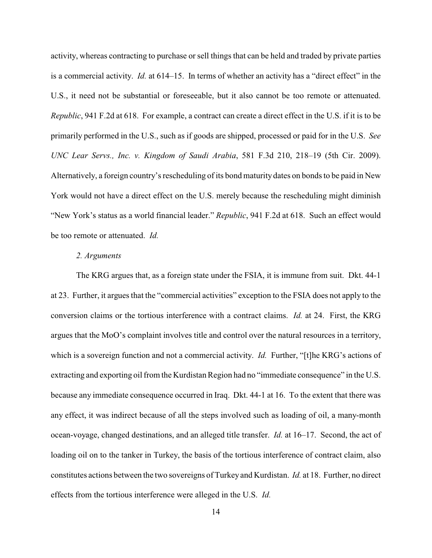activity, whereas contracting to purchase or sell things that can be held and traded by private parties is a commercial activity. *Id.* at 614–15. In terms of whether an activity has a "direct effect" in the U.S., it need not be substantial or foreseeable, but it also cannot be too remote or attenuated. *Republic*, 941 F.2d at 618. For example, a contract can create a direct effect in the U.S. if it is to be primarily performed in the U.S., such as if goods are shipped, processed or paid for in the U.S. *See UNC Lear Servs., Inc. v. Kingdom of Saudi Arabia*, 581 F.3d 210, 218–19 (5th Cir. 2009). Alternatively, a foreign country's rescheduling of its bond maturity dates on bonds to be paid in New York would not have a direct effect on the U.S. merely because the rescheduling might diminish "New York's status as a world financial leader." *Republic*, 941 F.2d at 618. Such an effect would be too remote or attenuated. *Id.*

# *2. Arguments*

The KRG argues that, as a foreign state under the FSIA, it is immune from suit. Dkt. 44-1 at 23. Further, it argues that the "commercial activities" exception to the FSIA does not apply to the conversion claims or the tortious interference with a contract claims. *Id.* at 24. First, the KRG argues that the MoO's complaint involves title and control over the natural resources in a territory, which is a sovereign function and not a commercial activity. *Id.* Further, "[t]he KRG's actions of extracting and exporting oil from the Kurdistan Region had no "immediate consequence" in the U.S. because any immediate consequence occurred in Iraq. Dkt. 44-1 at 16. To the extent that there was any effect, it was indirect because of all the steps involved such as loading of oil, a many-month ocean-voyage, changed destinations, and an alleged title transfer. *Id.* at 16–17. Second, the act of loading oil on to the tanker in Turkey, the basis of the tortious interference of contract claim, also constitutes actions between the two sovereigns of Turkey and Kurdistan. *Id.* at 18. Further, no direct effects from the tortious interference were alleged in the U.S. *Id.*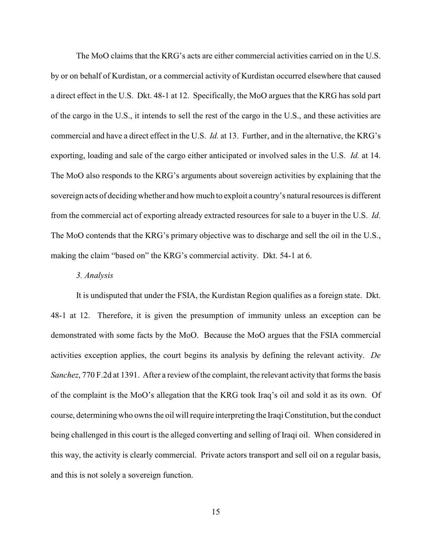The MoO claims that the KRG's acts are either commercial activities carried on in the U.S. by or on behalf of Kurdistan, or a commercial activity of Kurdistan occurred elsewhere that caused a direct effect in the U.S. Dkt. 48-1 at 12. Specifically, the MoO argues that the KRG has sold part of the cargo in the U.S., it intends to sell the rest of the cargo in the U.S., and these activities are commercial and have a direct effect in the U.S. *Id.* at 13. Further, and in the alternative, the KRG's exporting, loading and sale of the cargo either anticipated or involved sales in the U.S. *Id.* at 14. The MoO also responds to the KRG's arguments about sovereign activities by explaining that the sovereign acts of deciding whether and how much to exploit a country's natural resources is different from the commercial act of exporting already extracted resources for sale to a buyer in the U.S. *Id.*  The MoO contends that the KRG's primary objective was to discharge and sell the oil in the U.S., making the claim "based on" the KRG's commercial activity. Dkt. 54-1 at 6.

#### *3. Analysis*

It is undisputed that under the FSIA, the Kurdistan Region qualifies as a foreign state. Dkt. 48-1 at 12. Therefore, it is given the presumption of immunity unless an exception can be demonstrated with some facts by the MoO. Because the MoO argues that the FSIA commercial activities exception applies, the court begins its analysis by defining the relevant activity. *De Sanchez*, 770 F.2d at 1391. After a review of the complaint, the relevant activity that forms the basis of the complaint is the MoO's allegation that the KRG took Iraq's oil and sold it as its own. Of course, determining who owns the oil will require interpreting the Iraqi Constitution, but the conduct being challenged in this court is the alleged converting and selling of Iraqi oil. When considered in this way, the activity is clearly commercial. Private actors transport and sell oil on a regular basis, and this is not solely a sovereign function.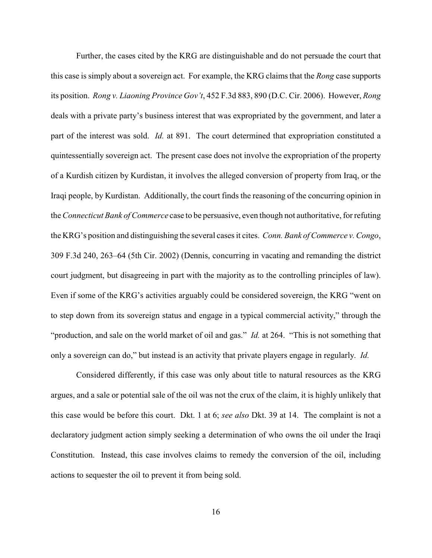Further, the cases cited by the KRG are distinguishable and do not persuade the court that this case is simply about a sovereign act. For example, the KRG claims that the *Rong* case supports its position. *Rong v. Liaoning Province Gov't*, 452 F.3d 883, 890 (D.C. Cir. 2006). However, *Rong* deals with a private party's business interest that was expropriated by the government, and later a part of the interest was sold. *Id.* at 891. The court determined that expropriation constituted a quintessentially sovereign act. The present case does not involve the expropriation of the property of a Kurdish citizen by Kurdistan, it involves the alleged conversion of property from Iraq, or the Iraqi people, by Kurdistan. Additionally, the court finds the reasoning of the concurring opinion in the *Connecticut Bank of Commerce* case to be persuasive, even though not authoritative, for refuting the KRG's position and distinguishing the several cases it cites. *Conn. Bank of Commerce v. Congo*, 309 F.3d 240, 263–64 (5th Cir. 2002) (Dennis, concurring in vacating and remanding the district court judgment, but disagreeing in part with the majority as to the controlling principles of law). Even if some of the KRG's activities arguably could be considered sovereign, the KRG "went on to step down from its sovereign status and engage in a typical commercial activity," through the "production, and sale on the world market of oil and gas." *Id.* at 264. "This is not something that only a sovereign can do," but instead is an activity that private players engage in regularly. *Id.* 

Considered differently, if this case was only about title to natural resources as the KRG argues, and a sale or potential sale of the oil was not the crux of the claim, it is highly unlikely that this case would be before this court. Dkt. 1 at 6; *see also* Dkt. 39 at 14. The complaint is not a declaratory judgment action simply seeking a determination of who owns the oil under the Iraqi Constitution. Instead, this case involves claims to remedy the conversion of the oil, including actions to sequester the oil to prevent it from being sold.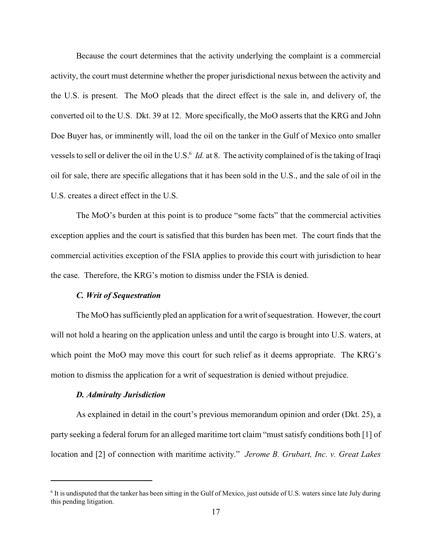Because the court determines that the activity underlying the complaint is a commercial activity, the court must determine whether the proper jurisdictional nexus between the activity and the U.S. is present. The MoO pleads that the direct effect is the sale in, and delivery of, the converted oil to the U.S. Dkt. 39 at 12. More specifically, the MoO asserts that the KRG and John Doe Buyer has, or imminently will, load the oil on the tanker in the Gulf of Mexico onto smaller vessels to sell or deliver the oil in the U.S.<sup>6</sup> *Id.* at 8. The activity complained of is the taking of Iraqi oil for sale, there are specific allegations that it has been sold in the U.S., and the sale of oil in the U.S. creates a direct effect in the U.S.

The MoO's burden at this point is to produce "some facts" that the commercial activities exception applies and the court is satisfied that this burden has been met. The court finds that the commercial activities exception of the FSIA applies to provide this court with jurisdiction to hear the case. Therefore, the KRG's motion to dismiss under the FSIA is denied.

# *C. Writ of Sequestration*

The MoO has sufficiently pled an application for a writ of sequestration. However, the court will not hold a hearing on the application unless and until the cargo is brought into U.S. waters, at which point the MoO may move this court for such relief as it deems appropriate. The KRG's motion to dismiss the application for a writ of sequestration is denied without prejudice.

## *D. Admiralty Jurisdiction*

As explained in detail in the court's previous memorandum opinion and order (Dkt. 25), a party seeking a federal forum for an alleged maritime tort claim "must satisfy conditions both [1] of location and [2] of connection with maritime activity." *Jerome B. Grubart, Inc. v. Great Lakes*

 $\delta$  It is undisputed that the tanker has been sitting in the Gulf of Mexico, just outside of U.S. waters since late July during this pending litigation.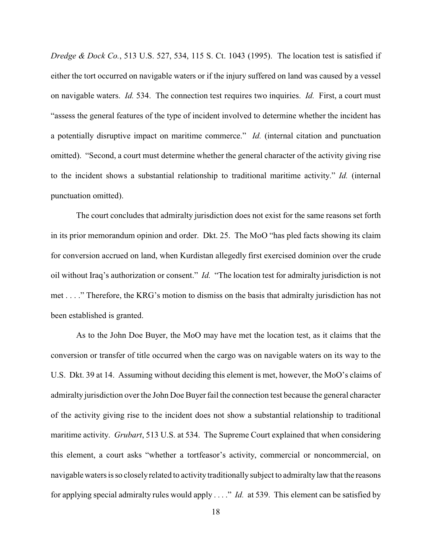*Dredge & Dock Co.*, 513 U.S. 527, 534, 115 S. Ct. 1043 (1995). The location test is satisfied if either the tort occurred on navigable waters or if the injury suffered on land was caused by a vessel on navigable waters. *Id.* 534. The connection test requires two inquiries. *Id.* First, a court must "assess the general features of the type of incident involved to determine whether the incident has a potentially disruptive impact on maritime commerce." *Id.* (internal citation and punctuation omitted). "Second, a court must determine whether the general character of the activity giving rise to the incident shows a substantial relationship to traditional maritime activity." *Id.* (internal punctuation omitted).

The court concludes that admiralty jurisdiction does not exist for the same reasons set forth in its prior memorandum opinion and order. Dkt. 25. The MoO "has pled facts showing its claim for conversion accrued on land, when Kurdistan allegedly first exercised dominion over the crude oil without Iraq's authorization or consent." *Id.* "The location test for admiralty jurisdiction is not met . . . ." Therefore, the KRG's motion to dismiss on the basis that admiralty jurisdiction has not been established is granted.

As to the John Doe Buyer, the MoO may have met the location test, as it claims that the conversion or transfer of title occurred when the cargo was on navigable waters on its way to the U.S. Dkt. 39 at 14. Assuming without deciding this element is met, however, the MoO's claims of admiralty jurisdiction over the John Doe Buyer fail the connection test because the general character of the activity giving rise to the incident does not show a substantial relationship to traditional maritime activity. *Grubart*, 513 U.S. at 534. The Supreme Court explained that when considering this element, a court asks "whether a tortfeasor's activity, commercial or noncommercial, on navigable waters is so closelyrelated to activity traditionally subject to admiraltylaw that the reasons for applying special admiralty rules would apply . . . ." *Id.* at 539. This element can be satisfied by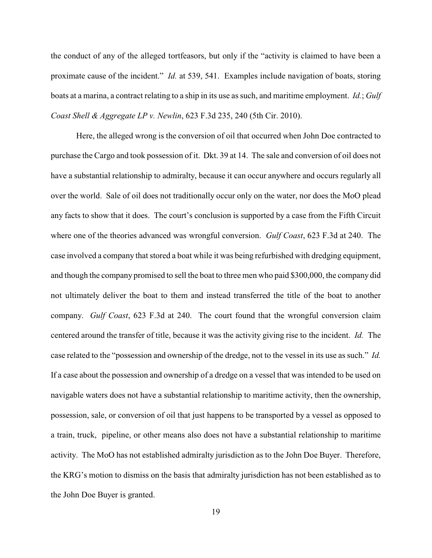the conduct of any of the alleged tortfeasors, but only if the "activity is claimed to have been a proximate cause of the incident." *Id.* at 539, 541. Examples include navigation of boats, storing boats at a marina, a contract relating to a ship in its use as such, and maritime employment. *Id.*; *Gulf Coast Shell & Aggregate LP v. Newlin*, 623 F.3d 235, 240 (5th Cir. 2010).

Here, the alleged wrong is the conversion of oil that occurred when John Doe contracted to purchase the Cargo and took possession of it. Dkt. 39 at 14. The sale and conversion of oil does not have a substantial relationship to admiralty, because it can occur anywhere and occurs regularly all over the world. Sale of oil does not traditionally occur only on the water, nor does the MoO plead any facts to show that it does. The court's conclusion is supported by a case from the Fifth Circuit where one of the theories advanced was wrongful conversion. *Gulf Coast*, 623 F.3d at 240. The case involved a company that stored a boat while it was being refurbished with dredging equipment, and though the company promised to sell the boat to three men who paid \$300,000, the company did not ultimately deliver the boat to them and instead transferred the title of the boat to another company. *Gulf Coast*, 623 F.3d at 240. The court found that the wrongful conversion claim centered around the transfer of title, because it was the activity giving rise to the incident. *Id.* The case related to the "possession and ownership of the dredge, not to the vessel in its use as such." *Id.*  If a case about the possession and ownership of a dredge on a vessel that was intended to be used on navigable waters does not have a substantial relationship to maritime activity, then the ownership, possession, sale, or conversion of oil that just happens to be transported by a vessel as opposed to a train, truck, pipeline, or other means also does not have a substantial relationship to maritime activity. The MoO has not established admiralty jurisdiction as to the John Doe Buyer. Therefore, the KRG's motion to dismiss on the basis that admiralty jurisdiction has not been established as to the John Doe Buyer is granted.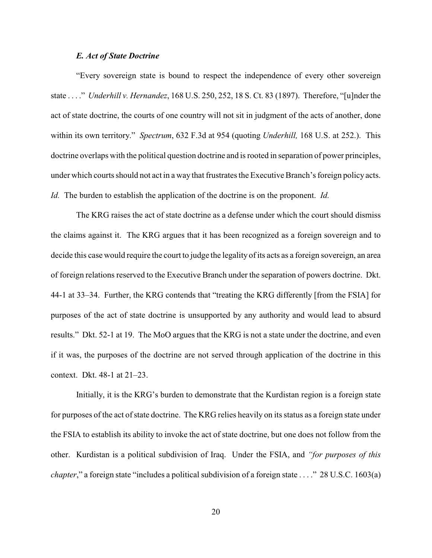## *E. Act of State Doctrine*

"Every sovereign state is bound to respect the independence of every other sovereign state . . . ." *Underhill v. Hernandez*, 168 U.S. 250, 252, 18 S. Ct. 83 (1897). Therefore, "[u]nder the act of state doctrine, the courts of one country will not sit in judgment of the acts of another, done within its own territory." *Spectrum*, 632 F.3d at 954 (quoting *Underhill,* 168 U.S. at 252.). This doctrine overlaps with the political question doctrine and is rooted in separation of power principles, under which courts should not act in a way that frustrates the Executive Branch's foreign policy acts. *Id.* The burden to establish the application of the doctrine is on the proponent. *Id.*

The KRG raises the act of state doctrine as a defense under which the court should dismiss the claims against it. The KRG argues that it has been recognized as a foreign sovereign and to decide this case would require the court to judge the legality of its acts as a foreign sovereign, an area of foreign relations reserved to the Executive Branch under the separation of powers doctrine. Dkt. 44-1 at 33–34. Further, the KRG contends that "treating the KRG differently [from the FSIA] for purposes of the act of state doctrine is unsupported by any authority and would lead to absurd results." Dkt. 52-1 at 19. The MoO argues that the KRG is not a state under the doctrine, and even if it was, the purposes of the doctrine are not served through application of the doctrine in this context. Dkt. 48-1 at 21–23.

Initially, it is the KRG's burden to demonstrate that the Kurdistan region is a foreign state for purposes of the act of state doctrine. The KRG relies heavily on its status as a foreign state under the FSIA to establish its ability to invoke the act of state doctrine, but one does not follow from the other. Kurdistan is a political subdivision of Iraq. Under the FSIA, and *"for purposes of this chapter*," a foreign state "includes a political subdivision of a foreign state . . . ." 28 U.S.C. 1603(a)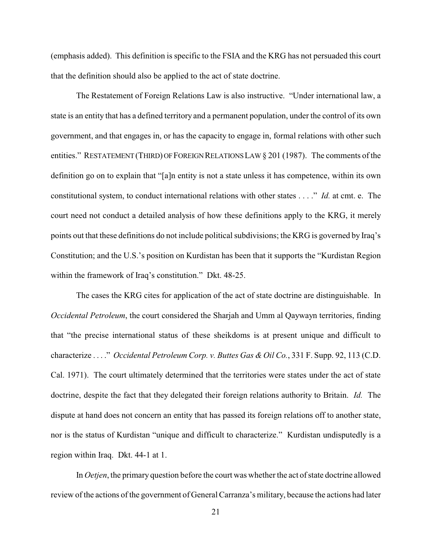(emphasis added). This definition is specific to the FSIA and the KRG has not persuaded this court that the definition should also be applied to the act of state doctrine.

The Restatement of Foreign Relations Law is also instructive. "Under international law, a state is an entity that has a defined territory and a permanent population, under the control of its own government, and that engages in, or has the capacity to engage in, formal relations with other such entities." RESTATEMENT (THIRD) OF FOREIGN RELATIONS LAW § 201 (1987). The comments of the definition go on to explain that "[a]n entity is not a state unless it has competence, within its own constitutional system, to conduct international relations with other states . . . ." *Id.* at cmt. e. The court need not conduct a detailed analysis of how these definitions apply to the KRG, it merely points out that these definitions do not include political subdivisions; the KRG is governed by Iraq's Constitution; and the U.S.'s position on Kurdistan has been that it supports the "Kurdistan Region within the framework of Iraq's constitution." Dkt. 48-25.

The cases the KRG cites for application of the act of state doctrine are distinguishable. In *Occidental Petroleum*, the court considered the Sharjah and Umm al Qaywayn territories, finding that "the precise international status of these sheikdoms is at present unique and difficult to characterize . . . ." *Occidental Petroleum Corp. v. Buttes Gas & Oil Co.*, 331 F. Supp. 92, 113 (C.D. Cal. 1971). The court ultimately determined that the territories were states under the act of state doctrine, despite the fact that they delegated their foreign relations authority to Britain. *Id.* The dispute at hand does not concern an entity that has passed its foreign relations off to another state, nor is the status of Kurdistan "unique and difficult to characterize." Kurdistan undisputedly is a region within Iraq. Dkt. 44-1 at 1.

In *Oetjen*, the primary question before the court was whether the act of state doctrine allowed review of the actions of the government of General Carranza's military, because the actions had later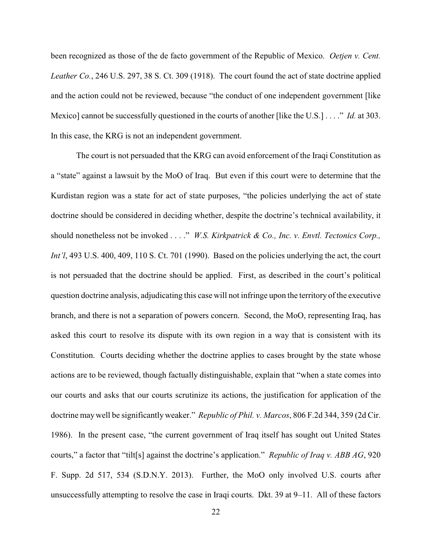been recognized as those of the de facto government of the Republic of Mexico. *Oetjen v. Cent. Leather Co.*, 246 U.S. 297, 38 S. Ct. 309 (1918). The court found the act of state doctrine applied and the action could not be reviewed, because "the conduct of one independent government [like Mexico] cannot be successfully questioned in the courts of another [like the U.S.] . . . ." *Id.* at 303. In this case, the KRG is not an independent government.

The court is not persuaded that the KRG can avoid enforcement of the Iraqi Constitution as a "state" against a lawsuit by the MoO of Iraq. But even if this court were to determine that the Kurdistan region was a state for act of state purposes, "the policies underlying the act of state doctrine should be considered in deciding whether, despite the doctrine's technical availability, it should nonetheless not be invoked . . . ." *W.S. Kirkpatrick & Co., Inc. v. Envtl. Tectonics Corp., Int'l*, 493 U.S. 400, 409, 110 S. Ct. 701 (1990). Based on the policies underlying the act, the court is not persuaded that the doctrine should be applied. First, as described in the court's political question doctrine analysis, adjudicating this case will not infringe upon the territory of the executive branch, and there is not a separation of powers concern. Second, the MoO, representing Iraq, has asked this court to resolve its dispute with its own region in a way that is consistent with its Constitution. Courts deciding whether the doctrine applies to cases brought by the state whose actions are to be reviewed, though factually distinguishable, explain that "when a state comes into our courts and asks that our courts scrutinize its actions, the justification for application of the doctrine maywell be significantly weaker." *Republic of Phil. v. Marcos*, 806 F.2d 344, 359 (2d Cir. 1986). In the present case, "the current government of Iraq itself has sought out United States courts," a factor that "tilt[s] against the doctrine's application." *Republic of Iraq v. ABB AG*, 920 F. Supp. 2d 517, 534 (S.D.N.Y. 2013). Further, the MoO only involved U.S. courts after unsuccessfully attempting to resolve the case in Iraqi courts. Dkt. 39 at 9–11. All of these factors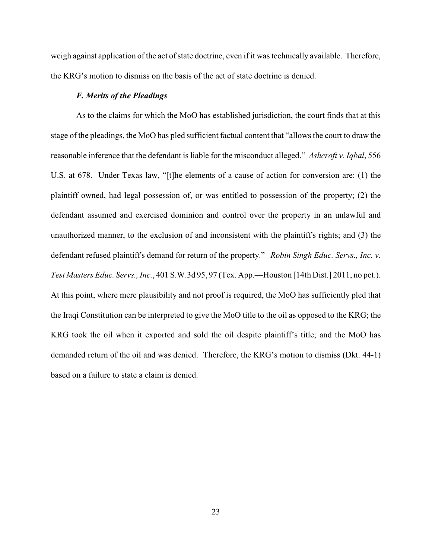weigh against application of the act of state doctrine, even if it was technically available. Therefore, the KRG's motion to dismiss on the basis of the act of state doctrine is denied.

# *F. Merits of the Pleadings*

As to the claims for which the MoO has established jurisdiction, the court finds that at this stage of the pleadings, the MoO has pled sufficient factual content that "allows the court to draw the reasonable inference that the defendant is liable for the misconduct alleged." *Ashcroft v. Iqbal*, 556 U.S. at 678. Under Texas law, "[t]he elements of a cause of action for conversion are: (1) the plaintiff owned, had legal possession of, or was entitled to possession of the property; (2) the defendant assumed and exercised dominion and control over the property in an unlawful and unauthorized manner, to the exclusion of and inconsistent with the plaintiff's rights; and (3) the defendant refused plaintiff's demand for return of the property." *Robin Singh Educ. Servs., Inc. v. Test Masters Educ. Servs., Inc.*, 401 S.W.3d 95, 97 (Tex. App.—Houston [14th Dist.] 2011, no pet.). At this point, where mere plausibility and not proof is required, the MoO has sufficiently pled that the Iraqi Constitution can be interpreted to give the MoO title to the oil as opposed to the KRG; the KRG took the oil when it exported and sold the oil despite plaintiff's title; and the MoO has demanded return of the oil and was denied. Therefore, the KRG's motion to dismiss (Dkt. 44-1) based on a failure to state a claim is denied.